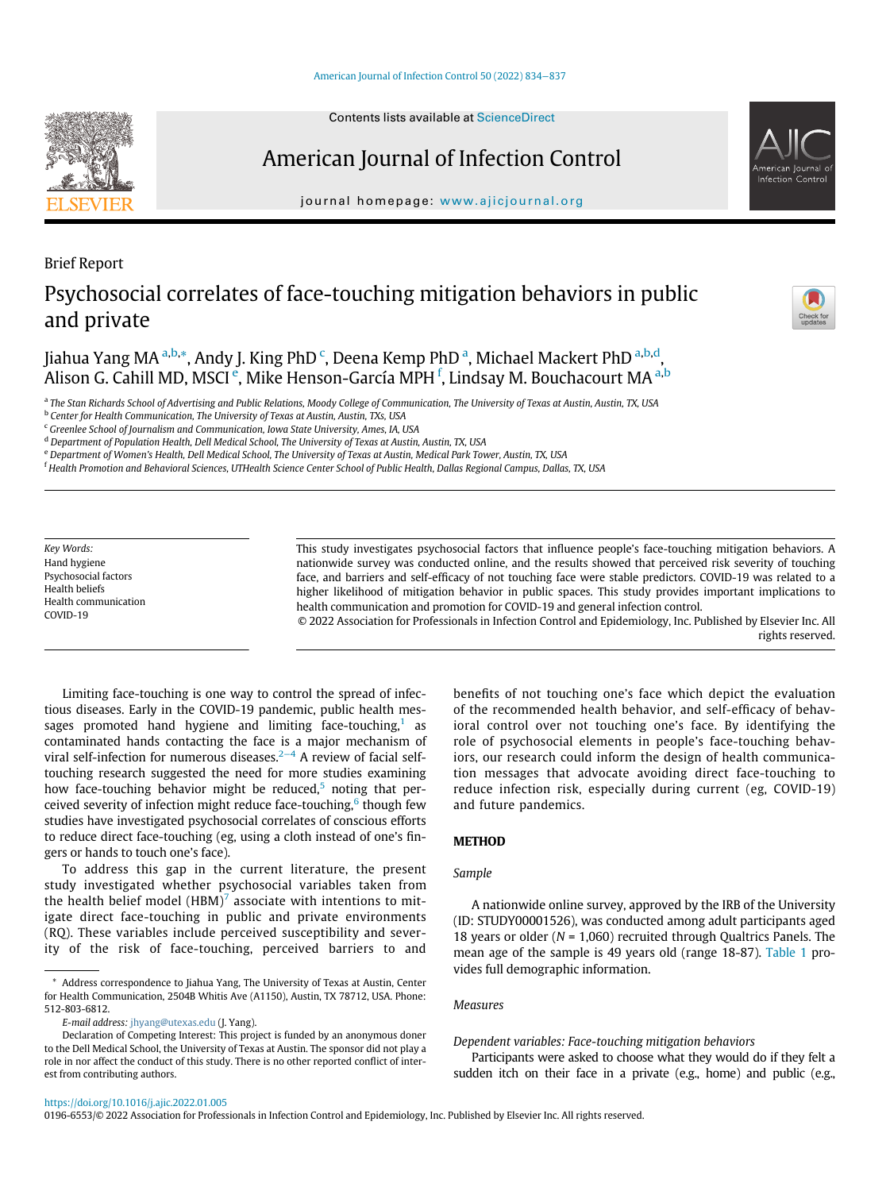### [American Journal of Infection Control 50 \(2022\) 834](https://doi.org/10.1016/j.ajic.2022.01.005)−837

# American Journal of Infection Control

journal homepage: [www.ajicjournal.org](http://www.ajicjournal.org)

# Brief Report Psychosocial correlates of face-touching mitigation behaviors in public and private

Ji[a](#page-0-0)hua Yang MA <sup>a[,b,](#page-0-1)</sup>[\\*](#page-0-2), Andy J. King PhD <sup>[c](#page-0-3)</sup>, Deena Kemp PhD <sup>a</sup>, Michael Mackert PhD <sup>a[,b](#page-0-1)[,d](#page-0-4)</sup>, Alison G. Cahill MD, MSCI <sup>[e](#page-0-5)</sup>, Mike Henson-García MPH <sup>[f](#page-0-6)</sup>, Linds[a](#page-0-0)y M. Bouchacourt MA <sup>a[,b](#page-0-1)</sup>

<span id="page-0-0"></span>a The Stan Richards School of Advertising and Public Relations, Moody College of Communication, The University of Texas at Austin, Austin, TX, USA

<span id="page-0-1"></span><sup>b</sup> Center for Health Communication, The University of Texas at Austin, Austin, TXs, USA

<span id="page-0-3"></span><sup>c</sup> Greenlee School of Journalism and Communication, Iowa State University, Ames, IA, USA

<span id="page-0-4"></span><sup>d</sup> Department of Population Health, Dell Medical School, The University of Texas at Austin, Austin, TX, USA

<span id="page-0-5"></span><sup>e</sup> Department of Women's Health, Dell Medical School, The University of Texas at Austin, Medical Park Tower, Austin, TX, USA

<span id="page-0-6"></span><sup>f</sup> Health Promotion and Behavioral Sciences, UTHealth Science Center School of Public Health, Dallas Regional Campus, Dallas, TX, USA

Key Words: Hand hygiene Psychosocial factors Health beliefs Health communication COVID-19

This study investigates psychosocial factors that influence people's face-touching mitigation behaviors. A nationwide survey was conducted online, and the results showed that perceived risk severity of touching face, and barriers and self-efficacy of not touching face were stable predictors. COVID-19 was related to a higher likelihood of mitigation behavior in public spaces. This study provides important implications to health communication and promotion for COVID-19 and general infection control.

© 2022 Association for Professionals in Infection Control and Epidemiology, Inc. Published by Elsevier Inc. All rights reserved.

Limiting face-touching is one way to control the spread of infectious diseases. Early in the COVID-19 pandemic, public health messages promoted hand hygiene and limiting face-touching, $1$  as contaminated hands contacting the face is a major mechanism of viral self-infection for numerous diseases.<sup>2[−](#page-3-1)4</sup> A review of facial selftouching research suggested the need for more studies examining how face-touching behavior might be reduced, $5$  noting that per-ceived severity of infection might reduce face-touching,<sup>[6](#page-3-3)</sup> though few studies have investigated psychosocial correlates of conscious efforts to reduce direct face-touching (eg, using a cloth instead of one's fingers or hands to touch one's face).

To address this gap in the current literature, the present study investigated whether psychosocial variables taken from the health belief model (HBM)<sup>[7](#page-3-4)</sup> associate with intentions to mitigate direct face-touching in public and private environments (RQ). These variables include perceived susceptibility and severity of the risk of face-touching, perceived barriers to and

E-mail address: [jhyang@utexas.edu](mailto:jhyang@utexas.edu) (J. Yang).

benefits of not touching one's face which depict the evaluation of the recommended health behavior, and self-efficacy of behavioral control over not touching one's face. By identifying the role of psychosocial elements in people's face-touching behaviors, our research could inform the design of health communication messages that advocate avoiding direct face-touching to reduce infection risk, especially during current (eg, COVID-19) and future pandemics.

# **METHOD**

# Sample

A nationwide online survey, approved by the IRB of the University (ID: STUDY00001526), was conducted among adult participants aged 18 years or older ( $N = 1,060$ ) recruited through Qualtrics Panels. The mean age of the sample is 49 years old (range 18-87). [Table 1](#page-1-0) provides full demographic information.

### Measures

Dependent variables: Face-touching mitigation behaviors

Participants were asked to choose what they would do if they felt a sudden itch on their face in a private (e.g., home) and public (e.g.,





<span id="page-0-2"></span><sup>\*</sup> Address correspondence to Jiahua Yang, The University of Texas at Austin, Center for Health Communication, 2504B Whitis Ave (A1150), Austin, TX 78712, USA. Phone: 512-803-6812.

Declaration of Competing Interest: This project is funded by an anonymous doner to the Dell Medical School, the University of Texas at Austin. The sponsor did not play a role in nor affect the conduct of this study. There is no other reported conflict of interest from contributing authors.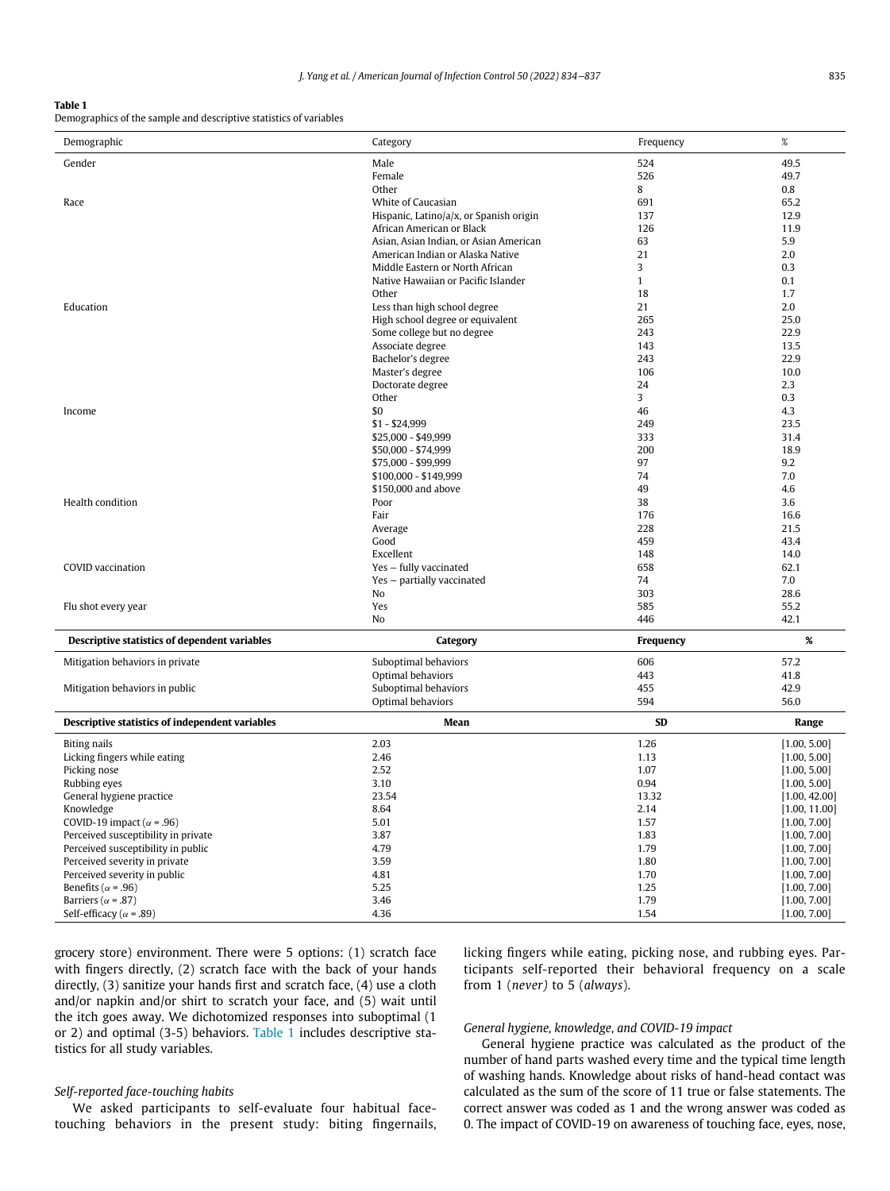### <span id="page-1-0"></span>Table 1

Demographics of the sample and descriptive statistics of variables

| Demographic                                                   | Category                                  | Frequency    | $\%$                         |
|---------------------------------------------------------------|-------------------------------------------|--------------|------------------------------|
| Gender                                                        | Male                                      | 524          | 49.5                         |
|                                                               | Female                                    | 526          | 49.7                         |
|                                                               | Other                                     | 8            | 0.8                          |
| Race                                                          | White of Caucasian                        | 691          | 65.2                         |
|                                                               | Hispanic, Latino/a/x, or Spanish origin   | 137          | 12.9                         |
|                                                               | African American or Black                 | 126          | 11.9                         |
|                                                               | Asian, Asian Indian, or Asian American    | 63           | 5.9                          |
|                                                               | American Indian or Alaska Native          | 21           | 2.0                          |
|                                                               | Middle Eastern or North African           | 3            | 0.3                          |
|                                                               | Native Hawaiian or Pacific Islander       | $\mathbf{1}$ | 0.1                          |
|                                                               | Other                                     | 18           | 1.7                          |
| Education                                                     | Less than high school degree              | 21           | 2.0                          |
|                                                               | High school degree or equivalent          | 265          | 25.0                         |
|                                                               | Some college but no degree                | 243          | 22.9                         |
|                                                               | Associate degree                          | 143          | 13.5                         |
|                                                               | Bachelor's degree                         | 243          | 22.9                         |
|                                                               | Master's degree                           | 106          | 10.0                         |
|                                                               | Doctorate degree                          | 24           | 2.3                          |
|                                                               | Other                                     | 3            | 0.3                          |
| Income                                                        | \$0                                       | 46           | 4.3                          |
|                                                               | $$1 - $24,999$                            | 249          | 23.5                         |
|                                                               | \$25,000 - \$49,999                       | 333          | 31.4                         |
|                                                               | \$50,000 - \$74,999                       | 200          | 18.9                         |
|                                                               | \$75,000 - \$99,999                       | 97           | 9.2                          |
|                                                               | \$100,000 - \$149,999                     | 74           | 7.0                          |
|                                                               | \$150,000 and above                       | 49           | 4.6                          |
| Health condition                                              | Poor                                      | 38           | 3.6                          |
|                                                               | Fair                                      | 176          | 16.6                         |
|                                                               | Average                                   | 228          | 21.5                         |
|                                                               | Good                                      | 459          | 43.4                         |
| COVID vaccination                                             | Excellent                                 | 148<br>658   | 14.0                         |
|                                                               | Yes - fully vaccinated                    | 74           | 62.1<br>7.0                  |
|                                                               | Yes - partially vaccinated<br>No          | 303          | 28.6                         |
| Flu shot every year                                           | Yes                                       | 585          | 55.2                         |
|                                                               | No                                        | 446          | 42.1                         |
|                                                               |                                           |              | $\%$                         |
| Descriptive statistics of dependent variables                 | Category                                  | Frequency    |                              |
| Mitigation behaviors in private                               | Suboptimal behaviors                      | 606          | 57.2                         |
|                                                               | Optimal behaviors                         | 443          | 41.8                         |
| Mitigation behaviors in public                                | Suboptimal behaviors<br>Optimal behaviors | 455<br>594   | 42.9<br>56.0                 |
|                                                               |                                           |              |                              |
| Descriptive statistics of independent variables               | Mean                                      | <b>SD</b>    | Range                        |
| <b>Biting nails</b>                                           | 2.03                                      | 1.26         | [1.00, 5.00]                 |
| Licking fingers while eating                                  | 2.46                                      | 1.13         | [1.00, 5.00]                 |
| Picking nose                                                  | 2.52                                      | 1.07         | [1.00, 5.00]                 |
| Rubbing eyes                                                  | 3.10                                      | 0.94         | [1.00, 5.00]                 |
| General hygiene practice                                      | 23.54                                     | 13.32        | [1.00, 42.00]                |
| Knowledge                                                     | 8.64                                      | 2.14         | [1.00, 11.00]                |
| COVID-19 impact ( $\alpha$ = .96)                             | 5.01                                      | 1.57         | [1.00, 7.00]                 |
| Perceived susceptibility in private                           | 3.87                                      | 1.83         | [1.00, 7.00]                 |
| Perceived susceptibility in public                            | 4.79                                      | 1.79         | [1.00, 7.00]                 |
| Perceived severity in private                                 | 3.59                                      | 1.80         | [1.00, 7.00]                 |
| Perceived severity in public                                  | 4.81                                      | 1.70         | [1.00, 7.00]                 |
| Benefits ( $\alpha$ = .96)                                    | 5.25<br>3.46                              | 1.25<br>1.79 | [1.00, 7.00]                 |
| Barriers ( $\alpha$ = .87)<br>Self-efficacy ( $\alpha$ = .89) | 4.36                                      | 1.54         | [1.00, 7.00]<br>[1.00, 7.00] |
|                                                               |                                           |              |                              |

grocery store) environment. There were 5 options: (1) scratch face with fingers directly, (2) scratch face with the back of your hands directly, (3) sanitize your hands first and scratch face, (4) use a cloth and/or napkin and/or shirt to scratch your face, and (5) wait until the itch goes away. We dichotomized responses into suboptimal (1 or 2) and optimal (3-5) behaviors. [Table 1](#page-1-0) includes descriptive statistics for all study variables.

# licking fingers while eating, picking nose, and rubbing eyes. Participants self-reported their behavioral frequency on a scale from 1 (never) to 5 (always).

### General hygiene, knowledge, and COVID-19 impact

General hygiene practice was calculated as the product of the number of hand parts washed every time and the typical time length of washing hands. Knowledge about risks of hand-head contact was calculated as the sum of the score of 11 true or false statements. The correct answer was coded as 1 and the wrong answer was coded as 0. The impact of COVID-19 on awareness of touching face, eyes, nose,

# Self-reported face-touching habits

We asked participants to self-evaluate four habitual facetouching behaviors in the present study: biting fingernails,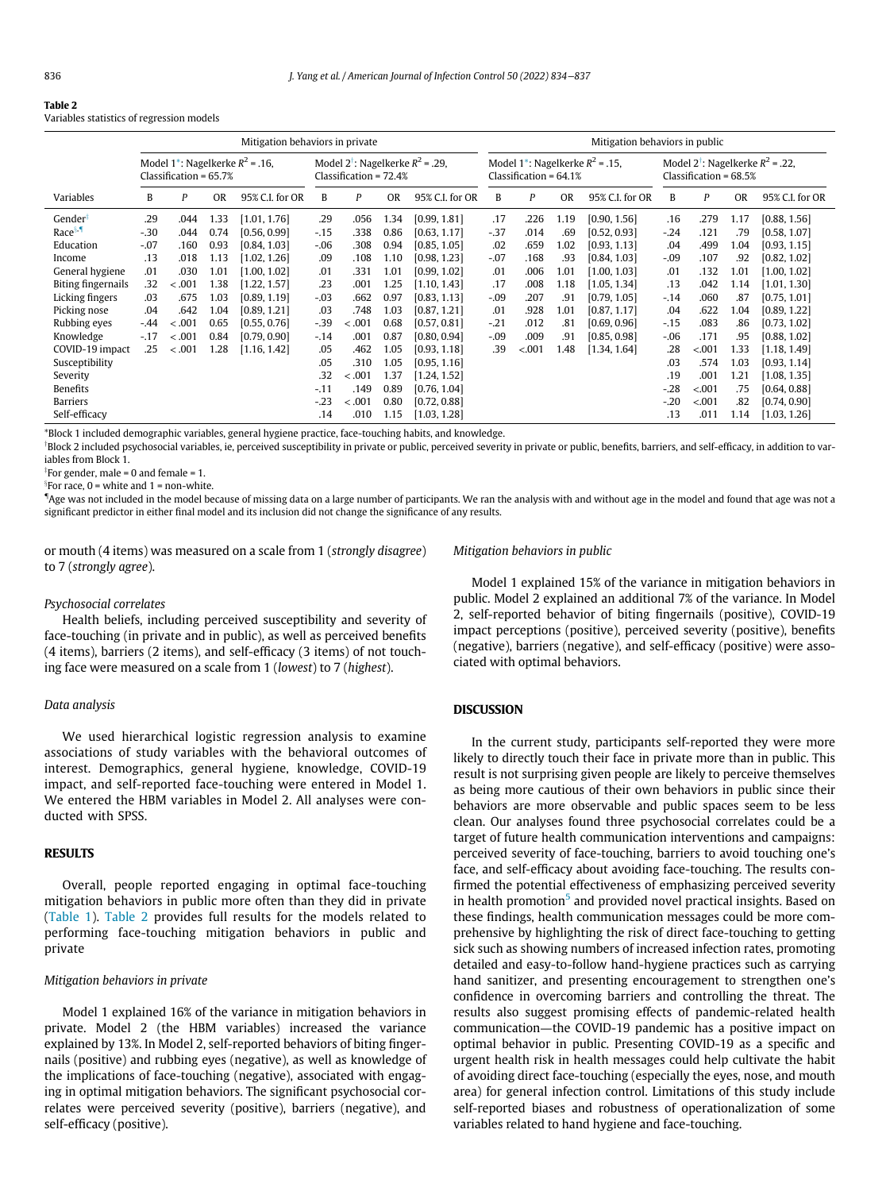<span id="page-2-0"></span>

Variables statistics of regression models

|                           | Mitigation behaviors in private                                             |         |           |                                                                            |        |                                                                            |           |                 | Mitigation behaviors in public                                             |        |           |                 |        |         |           |                 |  |
|---------------------------|-----------------------------------------------------------------------------|---------|-----------|----------------------------------------------------------------------------|--------|----------------------------------------------------------------------------|-----------|-----------------|----------------------------------------------------------------------------|--------|-----------|-----------------|--------|---------|-----------|-----------------|--|
|                           | Model 1 <sup>*</sup> : Nagelkerke $R^2$ = .16,<br>Classification = $65.7\%$ |         |           | Model 2 <sup>†</sup> : Nagelkerke $R^2$ = .29,<br>Classification = $72.4%$ |        | Model 1 <sup>*</sup> : Nagelkerke $R^2$ = .15,<br>$Classification = 64.1%$ |           |                 | Model 2 <sup>†</sup> ; Nagelkerke $R^2$ = .22,<br>Classification = $68.5%$ |        |           |                 |        |         |           |                 |  |
| Variables                 | B                                                                           | P       | <b>OR</b> | 95% C.I. for OR                                                            | B      | P                                                                          | <b>OR</b> | 95% C.I. for OR | B                                                                          | P      | <b>OR</b> | 95% C.I. for OR | B      | P       | <b>OR</b> | 95% C.I. for OR |  |
| Gender <sup>†</sup>       | .29                                                                         | .044    | 1.33      | [1.01, 1.76]                                                               | .29    | .056                                                                       | 1.34      | [0.99, 1.81]    | .17                                                                        | .226   | 1.19      | [0.90, 1.56]    | .16    | .279    | 1.17      | [0.88, 1.56]    |  |
| Race <sup>§.</sup>        | $-30$                                                                       | .044    | 0.74      | [0.56, 0.99]                                                               | $-.15$ | .338                                                                       | 0.86      | [0.63, 1.17]    | $-37$                                                                      | .014   | .69       | [0.52, 0.93]    | $-.24$ | .121    | .79       | [0.58, 1.07]    |  |
| Education                 | $-.07$                                                                      | .160    | 0.93      | [0.84, 1.03]                                                               | $-.06$ | .308                                                                       | 0.94      | [0.85, 1.05]    | .02                                                                        | .659   | 1.02      | [0.93, 1.13]    | .04    | .499    | 1.04      | [0.93, 1.15]    |  |
| Income                    | .13                                                                         | .018    | 1.13      | [1.02, 1.26]                                                               | .09    | .108                                                                       | 1.10      | [0.98, 1.23]    | $-.07$                                                                     | .168   | .93       | [0.84, 1.03]    | $-.09$ | .107    | .92       | [0.82, 1.02]    |  |
| General hygiene           | .01                                                                         | .030    | 1.01      | [1.00, 1.02]                                                               | .01    | .331                                                                       | 1.01      | [0.99, 1.02]    | .01                                                                        | .006   | 1.01      | [1.00, 1.03]    | .01    | .132    | 1.01      | [1.00, 1.02]    |  |
| <b>Biting fingernails</b> | .32                                                                         | $-.001$ | 1.38      | [1.22, 1.57]                                                               | .23    | .001                                                                       | 1.25      | [1.10, 1.43]    | .17                                                                        | .008   | 1.18      | [1.05, 1.34]    | .13    | .042    | 1.14      | [1.01, 1.30]    |  |
| Licking fingers           | .03                                                                         | .675    | 1.03      | [0.89, 1.19]                                                               | $-.03$ | .662                                                                       | 0.97      | [0.83, 1.13]    | $-.09$                                                                     | .207   | .91       | [0.79, 1.05]    | $-.14$ | .060    | .87       | [0.75, 1.01]    |  |
| Picking nose              | .04                                                                         | .642    | 1.04      | [0.89, 1.21]                                                               | .03    | .748                                                                       | 1.03      | [0.87, 1.21]    | .01                                                                        | .928   | 1.01      | [0.87, 1.17]    | .04    | .622    | 1.04      | [0.89, 1.22]    |  |
| Rubbing eyes              | $-44$                                                                       | $-.001$ | 0.65      | [0.55, 0.76]                                                               | $-39$  | $-.001$                                                                    | 0.68      | [0.57, 0.81]    | $-.21$                                                                     | .012   | .81       | [0.69, 0.96]    | $-.15$ | .083    | .86       | [0.73, 1.02]    |  |
| Knowledge                 | $-.17$                                                                      | $-.001$ | 0.84      | [0.79, 0.90]                                                               | $-14$  | .001                                                                       | 0.87      | [0.80, 0.94]    | $-.09$                                                                     | .009   | .91       | [0.85, 0.98]    | $-06$  | .171    | .95       | [0.88, 1.02]    |  |
| COVID-19 impact           | .25                                                                         | $-.001$ | 1.28      | [1.16, 1.42]                                                               | .05    | .462                                                                       | 1.05      | [0.93, 1.18]    | .39                                                                        | < .001 | 1.48      | [1.34, 1.64]    | .28    | < 0.001 | 1.33      | [1.18, 1.49]    |  |
| Susceptibility            |                                                                             |         |           |                                                                            | .05    | .310                                                                       | 1.05      | [0.95, 1.16]    |                                                                            |        |           |                 | .03    | .574    | 1.03      | [0.93, 1.14]    |  |
| Severity                  |                                                                             |         |           |                                                                            | .32    | $-.001$                                                                    | 1.37      | [1.24, 1.52]    |                                                                            |        |           |                 | .19    | .001    | 1.21      | [1.08, 1.35]    |  |
| Benefits                  |                                                                             |         |           |                                                                            | $-11$  | .149                                                                       | 0.89      | [0.76, 1.04]    |                                                                            |        |           |                 | $-28$  | < .001  | .75       | [0.64, 0.88]    |  |
| Barriers                  |                                                                             |         |           |                                                                            | $-23$  | $-.001$                                                                    | 0.80      | [0.72, 0.88]    |                                                                            |        |           |                 | $-20$  | < .001  | .82       | [0.74, 0.90]    |  |
| Self-efficacy             |                                                                             |         |           |                                                                            | .14    | .010                                                                       | 1.15      | [1.03, 1.28]    |                                                                            |        |           |                 | .13    | .011    | 1.14      | [1.03, 1.26]    |  |

<span id="page-2-1"></span>\*Block 1 included demographic variables, general hygiene practice, face-touching habits, and knowledge.

<span id="page-2-2"></span><sup>†</sup>Block 2 included psychosocial variables, ie, perceived susceptibility in private or public, perceived severity in private or public, benefits, barriers, and self-efficacy, in addition to variables from Block 1.

<span id="page-2-3"></span> $\displaystyle{~^{\mathrm{\ddagger}}}$ For gender, male = 0 and female = 1.

<span id="page-2-4"></span>x For race, 0 = white and 1 = non-white.

"Age was not included in the model because of missing data on a large number of participants. We ran the analysis with and without age in the model and found that age was not a significant predictor in either final model and its inclusion did not change the significance of any results.

or mouth (4 items) was measured on a scale from 1 (strongly disagree) to 7 (strongly agree).

### Mitigation behaviors in public

#### Psychosocial correlates

Health beliefs, including perceived susceptibility and severity of face-touching (in private and in public), as well as perceived benefits (4 items), barriers (2 items), and self-efficacy (3 items) of not touching face were measured on a scale from 1 (lowest) to 7 (highest).

### Data analysis

We used hierarchical logistic regression analysis to examine associations of study variables with the behavioral outcomes of interest. Demographics, general hygiene, knowledge, COVID-19 impact, and self-reported face-touching were entered in Model 1. We entered the HBM variables in Model 2. All analyses were conducted with SPSS.

### **RESULTS**

Overall, people reported engaging in optimal face-touching mitigation behaviors in public more often than they did in private [\(Table 1](#page-1-0)). [Table 2](#page-2-0) provides full results for the models related to performing face-touching mitigation behaviors in public and private

### Mitigation behaviors in private

Model 1 explained 16% of the variance in mitigation behaviors in private. Model 2 (the HBM variables) increased the variance explained by 13%. In Model 2, self-reported behaviors of biting fingernails (positive) and rubbing eyes (negative), as well as knowledge of the implications of face-touching (negative), associated with engaging in optimal mitigation behaviors. The significant psychosocial correlates were perceived severity (positive), barriers (negative), and self-efficacy (positive).

Model 1 explained 15% of the variance in mitigation behaviors in public. Model 2 explained an additional 7% of the variance. In Model 2, self-reported behavior of biting fingernails (positive), COVID-19 impact perceptions (positive), perceived severity (positive), benefits (negative), barriers (negative), and self-efficacy (positive) were associated with optimal behaviors.

## DISCUSSION

In the current study, participants self-reported they were more likely to directly touch their face in private more than in public. This result is not surprising given people are likely to perceive themselves as being more cautious of their own behaviors in public since their behaviors are more observable and public spaces seem to be less clean. Our analyses found three psychosocial correlates could be a target of future health communication interventions and campaigns: perceived severity of face-touching, barriers to avoid touching one's face, and self-efficacy about avoiding face-touching. The results confirmed the potential effectiveness of emphasizing perceived severity in health promotion<sup>[5](#page-3-2)</sup> and provided novel practical insights. Based on these findings, health communication messages could be more comprehensive by highlighting the risk of direct face-touching to getting sick such as showing numbers of increased infection rates, promoting detailed and easy-to-follow hand-hygiene practices such as carrying hand sanitizer, and presenting encouragement to strengthen one's confidence in overcoming barriers and controlling the threat. The results also suggest promising effects of pandemic-related health communication—the COVID-19 pandemic has a positive impact on optimal behavior in public. Presenting COVID-19 as a specific and urgent health risk in health messages could help cultivate the habit of avoiding direct face-touching (especially the eyes, nose, and mouth area) for general infection control. Limitations of this study include self-reported biases and robustness of operationalization of some variables related to hand hygiene and face-touching.